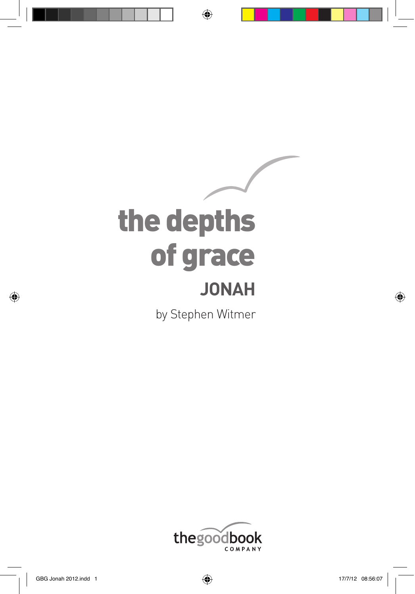

 $\bigoplus$ 

# **WONDU**

by Stephen Witmer



 $\bigoplus$ 



◈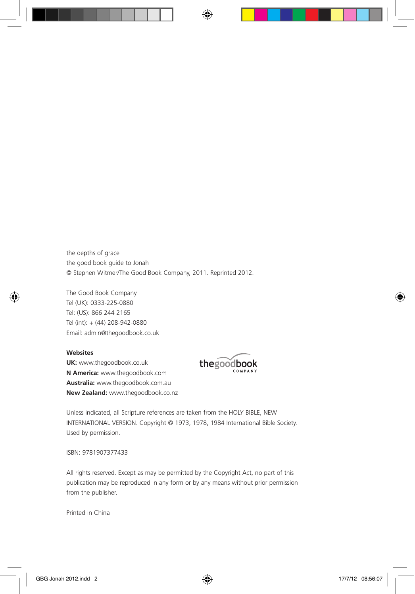the depths of grace the good book guide to Jonah © Stephen Witmer/The Good Book Company, 2011. Reprinted 2012.

The Good Book Company Tel (UK): 0333-225-0880 Tel: (US): 866 244 2165 Tel (int): + (44) 208-942-0880 Email: admin@thegoodbook.co.uk

#### **Websites**

**UK:** www.thegoodbook.co.uk **N America:** www.thegoodbook.com **Australia:** www.thegoodbook.com.au **New Zealand:** www.thegoodbook.co.nz



Unless indicated, all Scripture references are taken from the HOLY BIBLE, NEW INTERNATIONAL VERSION. Copyright © 1973, 1978, 1984 International Bible Society. Used by permission.

ISBN: 9781907377433

All rights reserved. Except as may be permitted by the Copyright Act, no part of this publication may be reproduced in any form or by any means without prior permission from the publisher.

Printed in China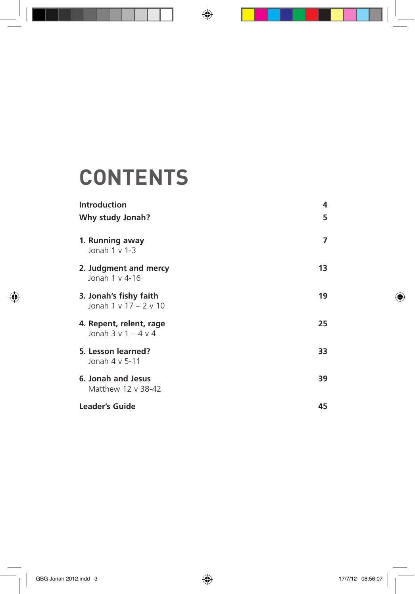# **CONTENTS**

| <b>Introduction</b><br>Why study Jonah?                | 4<br>5 |
|--------------------------------------------------------|--------|
| 1. Running away<br>Jonah $1 \vee 1-3$                  | 7      |
| 2. Judgment and mercy<br>Jonah 1 v 4-16                | 13     |
| 3. Jonah's fishy faith<br>Jonah 1 v 17 - 2 v 10        | 19     |
| 4. Repent, relent, rage<br>Jonah $3 \vee 1 - 4 \vee 4$ | 25     |
| 5. Lesson learned?<br>Jonah 4 v 5-11                   | 33     |
| 6. Jonah and Jesus<br>Matthew 12 v 38-42               | 39     |
| Leader's Guide                                         | 45     |

 $\bigoplus$ 

 $\bigoplus$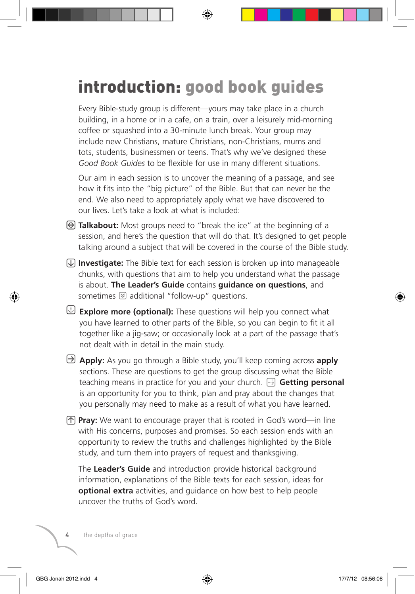# introduction: good book quides

Every Bible-study group is different—yours may take place in a church building, in a home or in a cafe, on a train, over a leisurely mid-morning coffee or squashed into a 30-minute lunch break. Your group may include new Christians, mature Christians, non-Christians, mums and tots, students, businessmen or teens. That's why we've designed these *Good Book Guides* to be flexible for use in many different situations.

Our aim in each session is to uncover the meaning of a passage, and see how it fits into the "big picture" of the Bible. But that can never be the end. We also need to appropriately apply what we have discovered to our lives. Let's take a look at what is included:

- /. **Talkabout:** Most groups need to "break the ice" at the beginning of a session, and here's the question that will do that. It's designed to get people talking around a subject that will be covered in the course of the Bible study.
- 1 **Investigate:** The Bible text for each session is broken up into manageable chunks, with questions that aim to help you understand what the passage is about. **The Leader's Guide** contains **guidance on questions**, and sometimes  $\mathcal{D}$  additional "follow-up" questions.
- "**Explore more (optional):** These questions will help you connect what you have learned to other parts of the Bible, so you can begin to fit it all together like a jig-saw; or occasionally look at a part of the passage that's not dealt with in detail in the main study.
- . **Apply:** As you go through a Bible study, you'll keep coming across **apply** sections. These are questions to get the group discussing what the Bible teaching means in practice for you and your church. **But Getting personal** is an opportunity for you to think, plan and pray about the changes that you personally may need to make as a result of what you have learned.
- **T** Pray: We want to encourage prayer that is rooted in God's word—in line with His concerns, purposes and promises. So each session ends with an opportunity to review the truths and challenges highlighted by the Bible study, and turn them into prayers of request and thanksgiving.

The **Leader's Guide** and introduction provide historical background information, explanations of the Bible texts for each session, ideas for **optional extra** activities, and guidance on how best to help people uncover the truths of God's word.

the depths of grace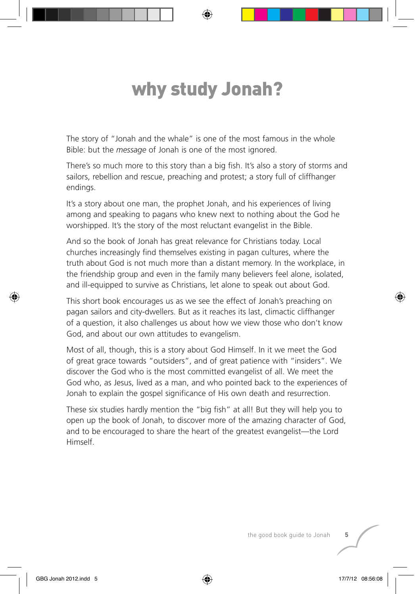# why study Jonah?

The story of "Jonah and the whale" is one of the most famous in the whole Bible: but the *message* of Jonah is one of the most ignored.

There's so much more to this story than a big fish. It's also a story of storms and sailors, rebellion and rescue, preaching and protest; a story full of cliffhanger endings.

It's a story about one man, the prophet Jonah, and his experiences of living among and speaking to pagans who knew next to nothing about the God he worshipped. It's the story of the most reluctant evangelist in the Bible.

And so the book of Jonah has great relevance for Christians today. Local churches increasingly find themselves existing in pagan cultures, where the truth about God is not much more than a distant memory. In the workplace, in the friendship group and even in the family many believers feel alone, isolated, and ill-equipped to survive as Christians, let alone to speak out about God.

This short book encourages us as we see the effect of Jonah's preaching on pagan sailors and city-dwellers. But as it reaches its last, climactic cliffhanger of a question, it also challenges us about how we view those who don't know God, and about our own attitudes to evangelism.

Most of all, though, this is a story about God Himself. In it we meet the God of great grace towards "outsiders", and of great patience with "insiders". We discover the God who is the most committed evangelist of all. We meet the God who, as Jesus, lived as a man, and who pointed back to the experiences of Jonah to explain the gospel significance of His own death and resurrection.

These six studies hardly mention the "big fish" at all! But they will help you to open up the book of Jonah, to discover more of the amazing character of God, and to be encouraged to share the heart of the greatest evangelist—the Lord Himself.

⊕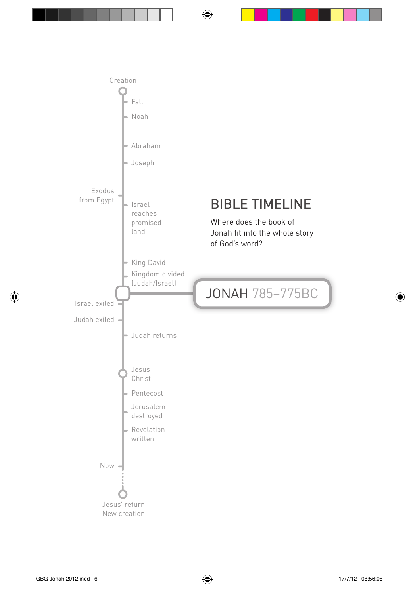

⊕

◈

⊕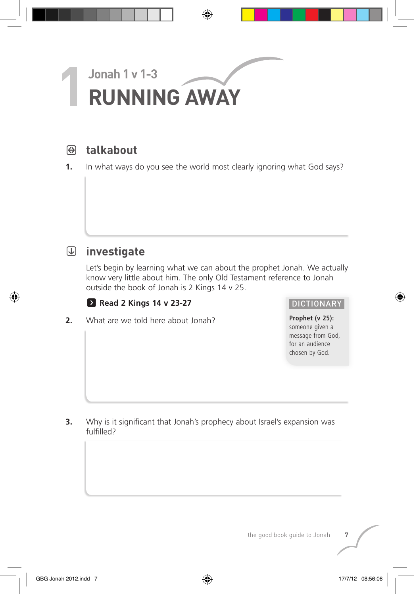# **BUNNING AWAY**

# $\Theta$  talkabout

**1.** In what ways do you see the world most clearly ignoring what God says?

# $\overline{\mathbb{Q}}$  investigate

 Let's begin by learning what we can about the prophet Jonah. We actually know very little about him. The only Old Testament reference to Jonah outside the book of Jonah is 2 Kings 14 v 25.

#### C **Read 2 Kings 14 v 23-27**

**2.** What are we told here about Jonah?



⊕

**Prophet (v 25):**  someone given a message from God, for an audience chosen by God.

**3.** Why is it significant that Jonah's prophecy about Israel's expansion was fulfilled?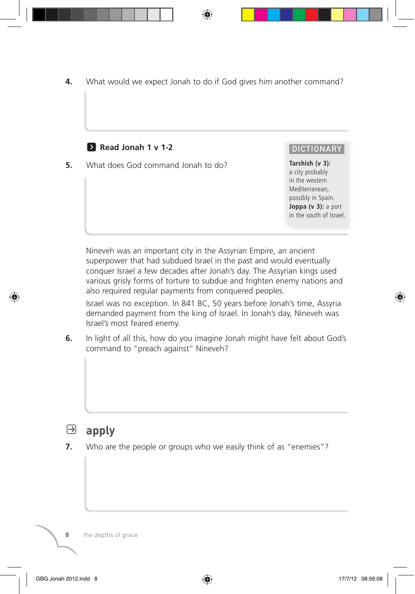**4.** What would we expect Jonah to do if God gives him another command?

#### **2** Read Jonah 1 v 1-2

**5.** What does God command Jonah to do?

DICTIONARY

**Tarshish (v 3):**  a city probably in the western Mediterranean, possibly in Spain. **Joppa (v 3):** a port in the south of Israel.

 Nineveh was an important city in the Assyrian Empire, an ancient superpower that had subdued Israel in the past and would eventually conquer Israel a few decades after Jonah's day. The Assyrian kings used various grisly forms of torture to subdue and frighten enemy nations and also required regular payments from conquered peoples.

 Israel was no exception. In 841 BC, 50 years before Jonah's time, Assyria demanded payment from the king of Israel. In Jonah's day, Nineveh was Israel's most feared enemy.

**6.** In light of all this, how do you imagine Jonah might have felt about God's command to "preach against" Nineveh?

- $\Theta$  apply
- **7.** Who are the people or groups who we easily think of as "enemies"?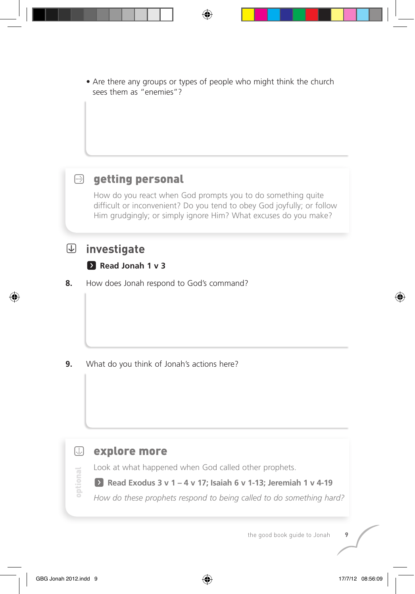• Are there any groups or types of people who might think the church sees them as "enemies"?

## $\bigcirc$  getting personal

 How do you react when God prompts you to do something quite difficult or inconvenient? Do you tend to obey God joyfully; or follow Him grudgingly; or simply ignore Him? What excuses do you make?

# $\overline{\mathbb{Q}}$  investigate

C **Read Jonah 1 v 3**

**8.** How does Jonah respond to God's command?

**9.** What do you think of Jonah's actions here?

## **E** explore more

Look at what happened when God called other prophets.

#### C **Read Exodus 3 v 1 – 4 v 17; Isaiah 6 v 1-13; Jeremiah 1 v 4-19**

*How do these prophets respond to being called to do something hard?*

the good book guide to Jonah

optional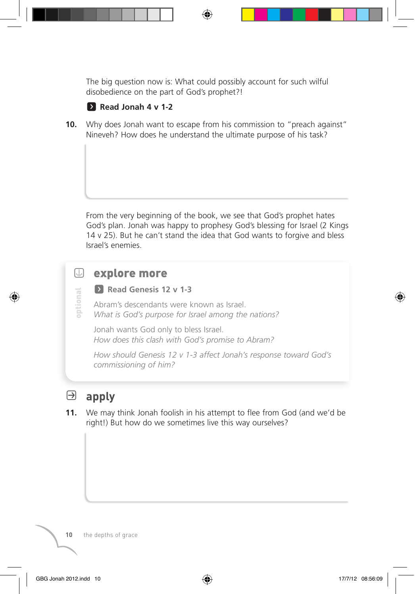The big question now is: What could possibly account for such wilful disobedience on the part of God's prophet?!



**10.** Why does Jonah want to escape from his commission to "preach against" Nineveh? How does he understand the ultimate purpose of his task?

 From the very beginning of the book, we see that God's prophet hates God's plan. Jonah was happy to prophesy God's blessing for Israel (2 Kings 14 v 25). But he can't stand the idea that God wants to forgive and bless Israel's enemies.

### **E** explore more

**EX Read Genesis 12 v 1-3** 

 Abram's descendants were known as Israel. *What is God's purpose for Israel among the nations?*  denational

 Jonah wants God only to bless Israel. *How does this clash with God's promise to Abram?* 

 *How should Genesis 12 v 1-3 affect Jonah's response toward God's commissioning of him?*

# $\Theta$  apply

**11.** We may think Jonah foolish in his attempt to flee from God (and we'd be right!) But how do we sometimes live this way ourselves?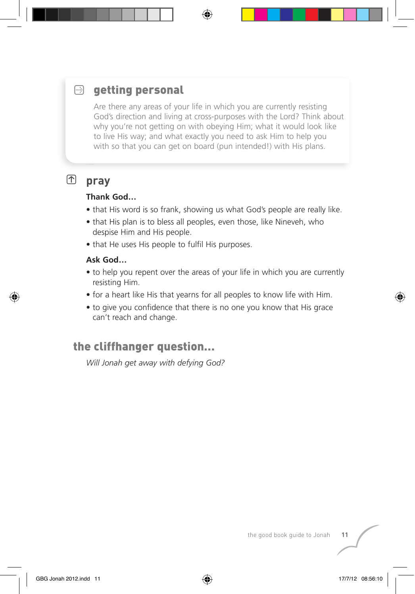## $\bigcirc$  getting personal

 Are there any areas of your life in which you are currently resisting God's direction and living at cross-purposes with the Lord? Think about why you're not getting on with obeying Him; what it would look like to live His way; and what exactly you need to ask Him to help you with so that you can get on board (pun intended!) with His plans.

### $\circledcirc$  pray

#### **Thank God…**

- that His word is so frank, showing us what God's people are really like.
- that His plan is to bless all peoples, even those, like Nineveh, who despise Him and His people.
- that He uses His people to fulfil His purposes.

#### **Ask God…**

- to help you repent over the areas of your life in which you are currently resisting Him.
- for a heart like His that yearns for all peoples to know life with Him.
- to give you confidence that there is no one you know that His grace can't reach and change.

## the cliffhanger question...

*Will Jonah get away with defying God?*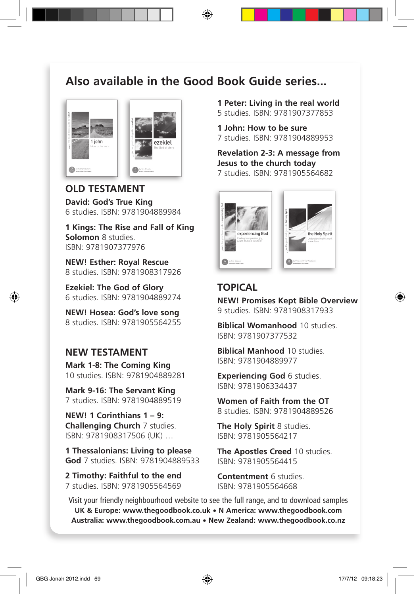# **Also available in the Good Book Guide series...**



**OLD TESTAMENT David: God's True King** 6 studies. ISBN: 9781904889984

**1 Kings: The Rise and Fall of King Solomon** 8 studies. ISBN: 9781907377976

**NEW! Esther: Royal Rescue** 8 studies. ISBN: 9781908317926

**Ezekiel: The God of Glory** 6 studies. ISBN: 9781904889274

**NEW! Hosea: God's love song** 8 studies. ISBN: 9781905564255

#### **NEW TESTAMENT**

◈

**Mark 1-8: The Coming King** 10 studies. ISBN: 9781904889281

**Mark 9-16: The Servant King** 7 studies. ISBN: 9781904889519

**NEW! 1 Corinthians 1 – 9: Challenging Church** 7 studies. ISBN: 9781908317506 (UK) …

**1 Thessalonians: Living to please God** 7 studies. ISBN: 9781904889533

**2 Timothy: Faithful to the end** 7 studies. ISBN: 9781905564569

**1 Peter: Living in the real world** 5 studies. ISBN: 9781907377853

**1 John: How to be sure** 7 studies. ISBN: 9781904889953

**Revelation 2-3: A message from Jesus to the church today** 7 studies. ISBN: 9781905564682



#### **TOPICAL**

**NEW! Promises Kept Bible Overview**  9 studies. ISBN: 9781908317933

**Biblical Womanhood** 10 studies. ISBN: 9781907377532

**Biblical Manhood** 10 studies. ISBN: 9781904889977

**Experiencing God** 6 studies. ISBN: 9781906334437

**Women of Faith from the OT** 8 studies. ISBN: 9781904889526

**The Holy Spirit** 8 studies. ISBN: 9781905564217

**The Apostles Creed** 10 studies. ISBN: 9781905564415

**Contentment** 6 studies. ISBN: 9781905564668

Visit your friendly neighbourhood website to see the full range, and to download samples **UK & Europe: www.thegoodbook.co.uk U N America: www.thegoodbook.com Australia: www.thegoodbook.com.au U New Zealand: www.thegoodbook.co.nz**

◈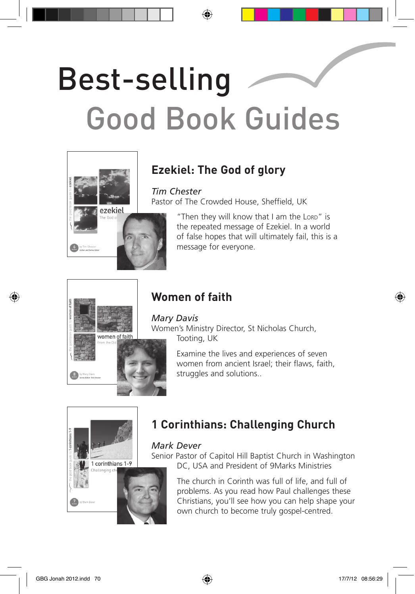# **Best-selling** Good Book Guides



women of faith

# **Ezekiel: The God of glory**

*Tim Chester* Pastor of The Crowded House, Sheffield, UK

> "Then they will know that I am the LORD" is the repeated message of Ezekiel. In a world of false hopes that will ultimately fail, this is a message for everyone.

# **Women of faith**

#### *Mary Davis*

Women's Ministry Director, St Nicholas Church, Tooting, UK

> Examine the lives and experiences of seven women from ancient Israel; their flaws, faith, struggles and solutions..



# **1 Corinthians: Challenging Church**

#### *Mark Dever*

Senior Pastor of Capitol Hill Baptist Church in Washington DC, USA and President of 9Marks Ministries

> The church in Corinth was full of life, and full of problems. As you read how Paul challenges these Christians, you'll see how you can help shape your own church to become truly gospel-centred.

◈

◈